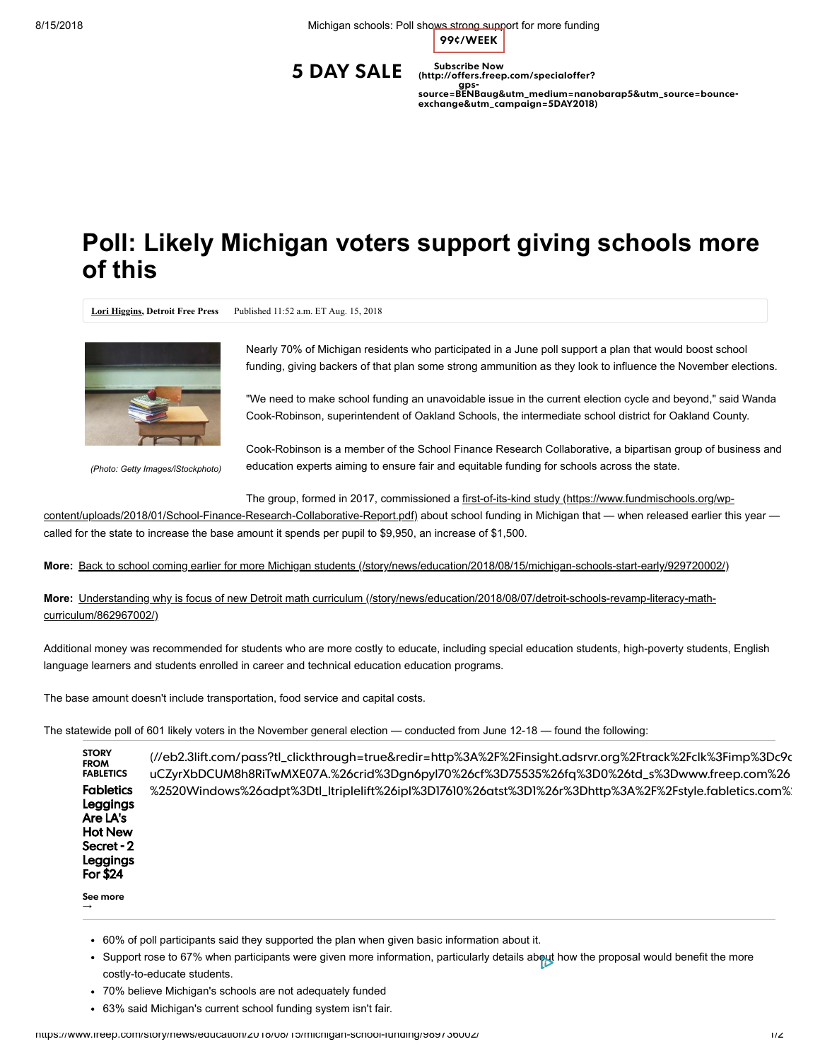8/15/2018 Michigan schools: Poll shows strong support for more funding

**99¢/WEEK**

**5 DAY SALE**

**Subscribe Now (http://offers.freep.com/specialoffer?**

**gps-[source=BENBaug&utm\\_medium=nanobarap5&utm\\_source=bounce-](http://offers.freep.com/specialoffer?gps-source=BENBaug&utm_medium=nanobarap5&utm_source=bounce-exchange&utm_campaign=5DAY2018)exchange&utm\_campaign=5DAY2018)**

## **Poll: Likely Michigan voters support giving schools more of this**

**[Lori Higgins,](http://www.freep.com/staff/27681/lori-higgins/) Detroit Free Press** Published 11:52 a.m. ET Aug. 15, 2018



*(Photo: Getty Images/iStockphoto)*

 $\rightarrow$ 

Nearly 70% of Michigan residents who participated in a June poll support a plan that would boost school funding, giving backers of that plan some strong ammunition as they look to influence the November elections.

"We need to make school funding an unavoidable issue in the current election cycle and beyond," said Wanda Cook-Robinson, superintendent of Oakland Schools, the intermediate school district for Oakland County.

Cook-Robinson is a member of the School Finance Research Collaborative, a bipartisan group of business and education experts aiming to ensure fair and equitable funding for schools across the state.

The group, formed in 2017, commissioned a first-of-its-kind study (https://www.fundmischools.org/wp-

[content/uploads/2018/01/School-Finance-Research-Collaborative-Report.pdf\) about school funding in Michigan that — when released earlier thi](https://www.fundmischools.org/wp-content/uploads/2018/01/School-Finance-Research-Collaborative-Report.pdf)s year called for the state to increase the base amount it spends per pupil to \$9,950, an increase of \$1,500.

**More:** [Back to school coming earlier for more Michigan students \(/story/news/education/2018/08/15/michigan-schools-start-early/929720002/\)](https://www.freep.com/story/news/education/2018/08/15/michigan-schools-start-early/929720002/)

**More:** [Understanding why is focus of new Detroit math curriculum \(/story/news/education/2018/08/07/detroit-schools-revamp-literacy-math](https://www.freep.com/story/news/education/2018/08/07/detroit-schools-revamp-literacy-math-curriculum/862967002/)curriculum/862967002/)

Additional money was recommended for students who are more costly to educate, including special education students, high-poverty students, English language learners and students enrolled in career and technical education education programs.

The base amount doesn't include transportation, food service and capital costs.

The statewide poll of 601 likely voters in the November general election — conducted from June 12-18 — found the following:

**STORY FROM FABLETICS Fabletics** Leggings Are LA's Hot New Secret - 2 Leggings For \$24 **See more** [\(//eb2.3lift.com/pass?tl\\_clickthrough=true&redir=http%3A%2F%2Finsight.adsrvr.org%2Ftrack%2Fclk%3Fimp%3Dc9d](https://eb2.3lift.com/pass?tl_clickthrough=true&redir=http%3A%2F%2Finsight.adsrvr.org%2Ftrack%2Fclk%3Fimp%3Dc9d339c9-41bf-4d02-9210-bc4b7326463e%26ag%3Dwdba47w%26sfe%3Ddabe3df%26sig%3DhbFN3l3EP9CkbEWkyG-uCZyrXbDCUM8h8RiTwMXE07A.%26crid%3Dgn6pyl70%26cf%3D75535%26fq%3D0%26td_s%3Dwww.freep.com%26rcats%3D7sp%2C5rf%2Cy29%26mcat%3D%26mste%3Dwww.freep.com%26mfld%3D4%26mssi%3D1rigqi3wz2yr%26mfsi%3Dagd9d1fjmh%26sv%3Dtriplelift%26uhow%3D85%26agsa%3D%26rgco%3DUnited%2520States%26rgre%3DMichigan%26rgme%3D563%26rgci%3DGrand%2520Rapids%26rgz%3D49534%26dt%3DPC%26osf%3DWindows%26os%3DWindows10%26br%3DChrome%26svpid%3D4655%26rlangs%3Den%26mlang%3D%26did%3D%26rcxt%3DOther%26tmpc%3D%26vrtd%3D%26osi%3D%26osv%3D%26daid%3D%26dnr%3D0%26vpb%3D%26svsc%3D%26dur%3DCicKDWNoYXJnZS1hbGwtMTgiFgju__________8BEgljcm9zc3dpc2UKHgoHMmw1MWE3eBDnHCIQCJKx1WoSCWRhMjVkdHRyawowCgxjaGFyZ2UtYWxsLTEiIAj___________8BEhN0dGRfZGF0YV9leGNsdXNpb25zEOcc%26crrelr%3D%26npt%3D%26svscid%3D35887%26mk%3DMicrosoft%26mdl%3DChrome%2520-%2520Windows%26adpt%3Dtl_ltriplelift%26ipl%3D17610%26atst%3D1%26r%3Dhttp%3A%2F%2Fstyle.fabletics.com%2Fdmg%2F8E9789%3Futm_source%3DTheTradeDesk%26utm_medium%3DDisplay%26utm_campaign%3D6kzpkmb%26sid%3Dttd_adgroup_id_wdba47w%26aid%3Dttd_site_id_www.freep.com%26pcode%3Dttd_campaign_id_6kzpkmb%26ccode%3Dttd_creative_id_gn6pyl70%26device%3Ddevice_) uCZyrXbDCUM8h8RiTwMXE07A.%26crid%3Dgn6pyl70%26cf%3D75535%26fq%3D0%26td\_s%3Dwww.freep.com%26 %2520Windows%26adpt%3Dtl\_ltriplelift%26ipl%3D17610%26atst%3D1%26r%3Dhttp%3A%2F%2Fstyle.fabletics.com%2

- 60% of poll participants said they supported the plan when given basic information about it.
- Support rose to 67% when participants were given more information, particularly details about how the proposal would benefit the more costly-to-educate students.
- 70% believe Michigan's schools are not adequately funded
- 63% said Michigan's current school funding system isn't fair.